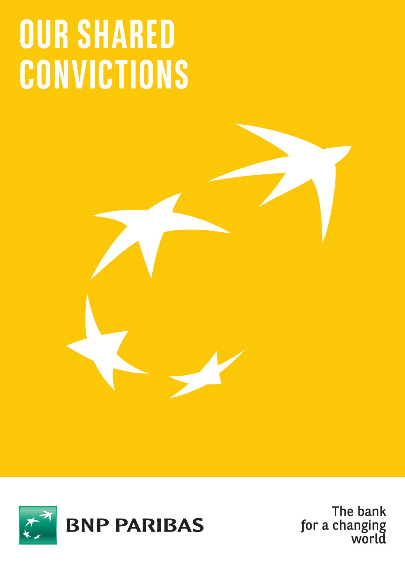# **OUR SHARED CONVICTIONS**



The bank for a changing world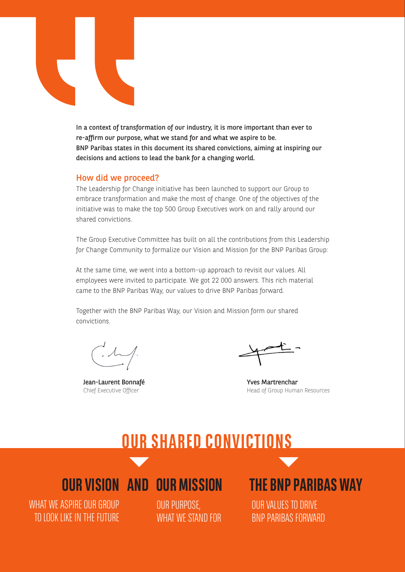

In a context of transformation of our industry, it is more important than ever to re-affirm our purpose, what we stand for and what we aspire to be. BNP Paribas states in this document its shared convictions, aiming at inspiring our decisions and actions to lead the bank for a changing world.

#### How did we proceed?

The Leadership for Change initiative has been launched to support our Group to embrace transformation and make the most of change. One of the objectives of the initiative was to make the top 500 Group Executives work on and rally around our shared convictions.

The Group Executive Committee has built on all the contributions from this Leadership for Change Community to formalize our Vision and Mission for the BNP Paribas Group:

At the same time, we went into a bottom-up approach to revisit our values. All employees were invited to participate. We got 22 000 answers. This rich material came to the BNP Paribas Way, our values to drive BNP Paribas forward.

Together with the BNP Paribas Way, our Vision and Mission form our shared convictions.

 $\frac{1}{\sqrt{2}}$ 

Jean-Laurent Bonnafé Chief Executive Officer

Yves Martrenchar Head of Group Human Resources

## **OUR SHARED CONVICTIONS**

WHAT WE ASPIRE OUR GROUP TO LOOK LIKE IN THE FUTURE

OUR PURPOSE, WHAT WE STAND FOR

### **OUR VISION AND OUR MISSION THE BNP PARIBAS WAY**

OUR VALUES TO DRIVE BNP PARIBAS FORWARD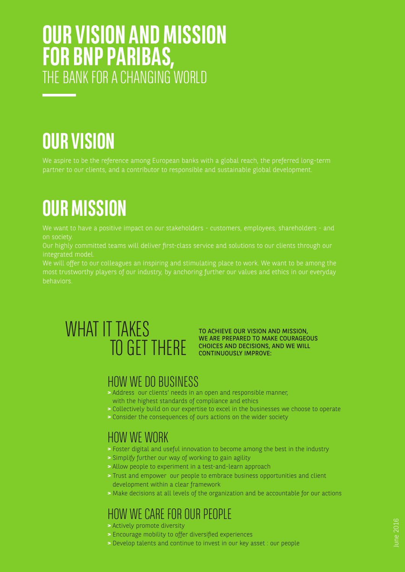# **OUR VISION AND MISSION FOR BNP PARIBAS,** THE BANK FOR A CHANGING WORLD

# **OUR VISION**

partner to our clients, and a contributor to responsible and sustainable global development.

# **OUR MISSION**

on society.

Our highly committed teams will deliver first-class service and solutions to our clients through our integrated model.

We will offer to our colleagues an inspiring and stimulating place to work. We want to be among the most trustworthy players of our industry, by anchoring further our values and ethics in our everyday behaviors.

# WHAT IT TAKES TO GET THERE

#### TO ACHIEVE OUR VISION AND MISSION, WE ARE PREPARED TO MAKE COURAGEOUS CHOICES AND DECISIONS, AND WE WILL CONTINUOUSLY IMPROVE:

#### HOW WE DO BUSINESS

- **>** Address our clients' needs in an open and responsible manner, with the highest standards of compliance and ethics
- **>** Collectively build on our expertise to excel in the businesses we choose to operate
- **>** Consider the consequences of ours actions on the wider society

#### HOW WE WORK

- **>** Foster digital and useful innovation to become among the best in the industry
- **>** Simplify further our way of working to gain agility
- **>** Allow people to experiment in a test-and-learn approach
- **>** Trust and empower our people to embrace business opportunities and client development within a clear framework
- **>** Make decisions at all levels of the organization and be accountable for our actions

#### HOW WE CARE FOR OUR PEOPLE

- **>** Actively promote diversity
- **>** Encourage mobility to offer diversified experiences
- **>** Develop talents and continue to invest in our key asset : our people